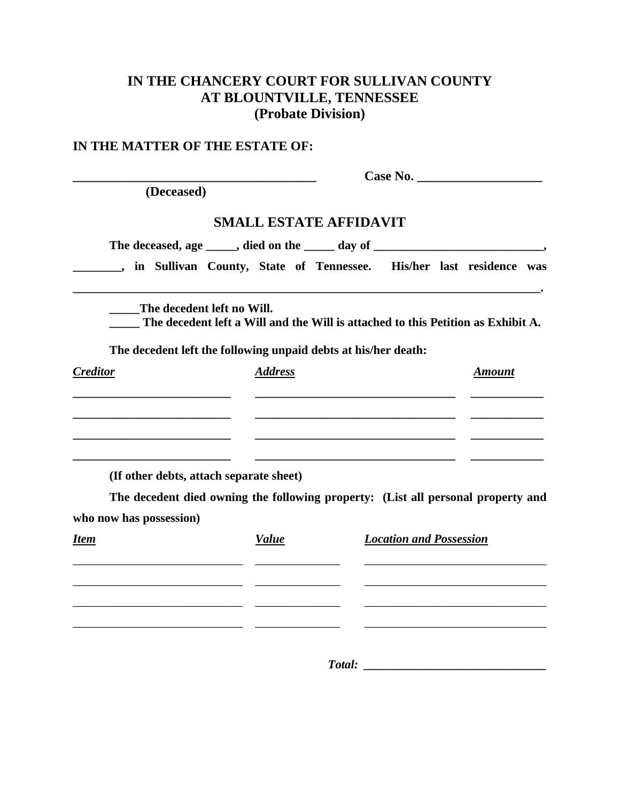# **IN THE CHANCERY COURT FOR SULLIVAN COUNTY AT BLOUNTVILLE, TENNESSEE (Probate Division)**

## **IN THE MATTER OF THE ESTATE OF:**

|                                                                                  |                                                                                  |                                |  |  | Case No.      |  |
|----------------------------------------------------------------------------------|----------------------------------------------------------------------------------|--------------------------------|--|--|---------------|--|
| (Deceased)                                                                       |                                                                                  |                                |  |  |               |  |
|                                                                                  | <b>SMALL ESTATE AFFIDAVIT</b>                                                    |                                |  |  |               |  |
| The deceased, age _____, died on the _____ day of _________________________,     |                                                                                  |                                |  |  |               |  |
|                                                                                  | in Sullivan County, State of Tennessee. His/her last residence was               |                                |  |  |               |  |
| The decedent left no Will.                                                       | The decedent left a Will and the Will is attached to this Petition as Exhibit A. |                                |  |  |               |  |
| The decedent left the following unpaid debts at his/her death:                   |                                                                                  |                                |  |  |               |  |
| <b>Creditor</b>                                                                  | <b>Address</b>                                                                   |                                |  |  | <b>Amount</b> |  |
|                                                                                  |                                                                                  |                                |  |  |               |  |
|                                                                                  |                                                                                  |                                |  |  |               |  |
|                                                                                  |                                                                                  |                                |  |  |               |  |
| (If other debts, attach separate sheet)                                          |                                                                                  |                                |  |  |               |  |
| The decedent died owning the following property: (List all personal property and |                                                                                  |                                |  |  |               |  |
| who now has possession)                                                          |                                                                                  |                                |  |  |               |  |
| Item                                                                             | <b>Value</b>                                                                     | <b>Location and Possession</b> |  |  |               |  |
|                                                                                  |                                                                                  |                                |  |  |               |  |
|                                                                                  |                                                                                  |                                |  |  |               |  |
|                                                                                  |                                                                                  |                                |  |  |               |  |
|                                                                                  |                                                                                  |                                |  |  |               |  |

*Total: \_\_\_\_\_\_\_\_\_\_\_\_\_\_\_\_\_\_\_\_\_\_\_\_\_\_\_\_\_\_*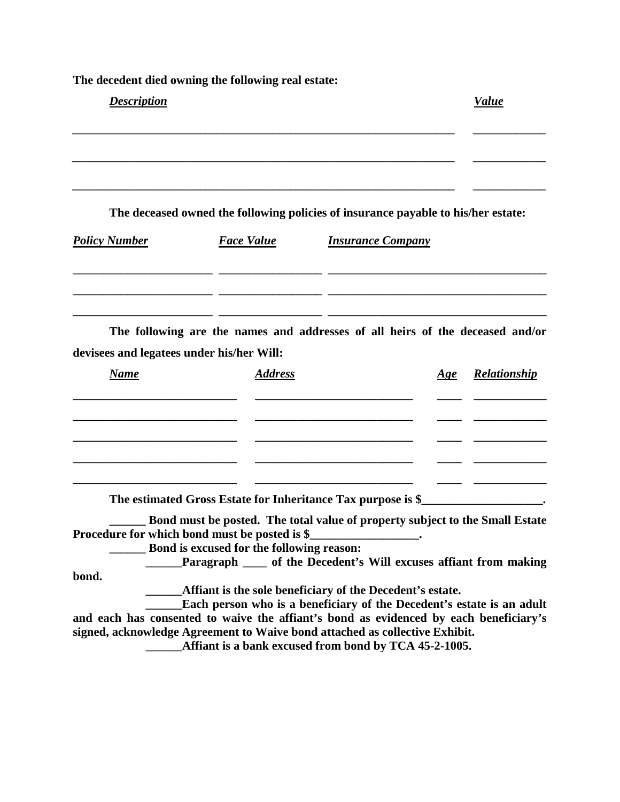**The decedent died owning the following real estate:**

| <b>Description</b>                        |                                                                                                                                              |                          |     | <b>Value</b>        |
|-------------------------------------------|----------------------------------------------------------------------------------------------------------------------------------------------|--------------------------|-----|---------------------|
|                                           | The deceased owned the following policies of insurance payable to his/her estate:                                                            |                          |     |                     |
| <b>Policy Number</b>                      | <b>Face Value</b>                                                                                                                            | <b>Insurance Company</b> |     |                     |
| devisees and legatees under his/her Will: | The following are the names and addresses of all heirs of the deceased and/or                                                                |                          |     |                     |
| <b>Name</b>                               | <b>Address</b>                                                                                                                               |                          | Age | <b>Relationship</b> |
|                                           |                                                                                                                                              |                          |     |                     |
|                                           | The estimated Gross Estate for Inheritance Tax purpose is \$<br>Rond must be posted. The total value of property subject to the Small Fstate |                          |     |                     |

**\_\_\_\_\_\_ Bond must be posted. The total value of property subject to the Small Estate**  Procedure for which bond must be posted is \$\_\_\_\_\_\_\_\_\_\_\_\_\_\_\_\_\_\_.

**\_\_\_\_\_\_ Bond is excused for the following reason:**

**\_\_\_\_\_\_Paragraph \_\_\_\_ of the Decedent's Will excuses affiant from making bond.**

**\_\_\_\_\_\_Affiant is the sole beneficiary of the Decedent's estate.**

**\_\_\_\_\_\_Each person who is a beneficiary of the Decedent's estate is an adult and each has consented to waive the affiant's bond as evidenced by each beneficiary's signed, acknowledge Agreement to Waive bond attached as collective Exhibit.**

**\_\_\_\_\_\_Affiant is a bank excused from bond by TCA 45-2-1005.**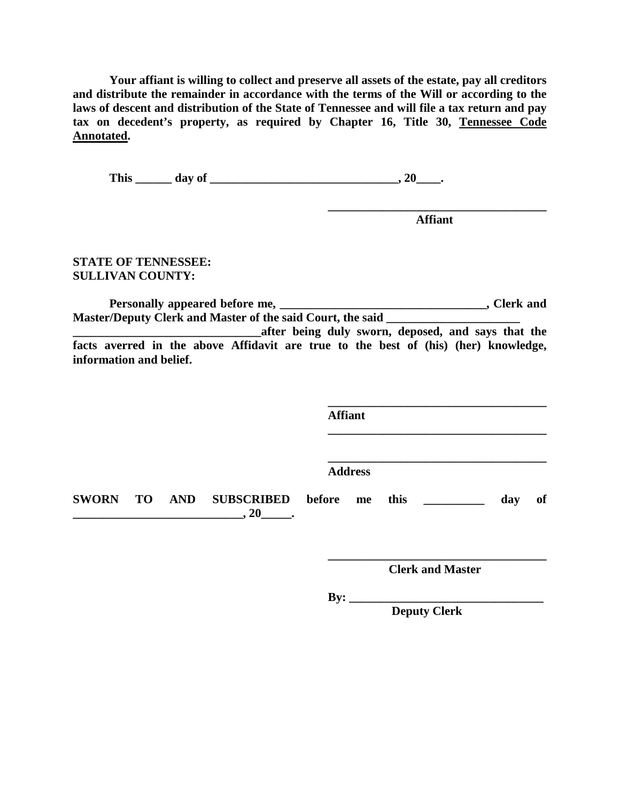**Your affiant is willing to collect and preserve all assets of the estate, pay all creditors and distribute the remainder in accordance with the terms of the Will or according to the laws of descent and distribution of the State of Tennessee and will file a tax return and pay tax on decedent's property, as required by Chapter 16, Title 30, Tennessee Code Annotated.**

**This \_\_\_\_\_\_ day of \_\_\_\_\_\_\_\_\_\_\_\_\_\_\_\_\_\_\_\_\_\_\_\_\_\_\_\_\_\_\_, 20\_\_\_\_.**

**\_\_\_\_\_\_\_\_\_\_\_\_\_\_\_\_\_\_\_\_\_\_\_\_\_\_\_\_\_\_\_\_\_\_\_\_ Affiant**

**STATE OF TENNESSEE: SULLIVAN COUNTY:**

**Personally appeared before me, \_\_\_\_\_\_\_\_\_\_\_\_\_\_\_\_\_\_\_\_\_\_\_\_\_\_\_\_\_\_\_\_\_\_, Clerk and Master/Deputy Clerk and Master of the said Court, the said \_\_\_\_\_\_\_\_\_\_\_\_\_\_\_\_\_\_\_\_\_\_ \_\_\_\_\_\_\_\_\_\_\_\_\_\_\_\_\_\_\_\_\_\_\_\_\_\_\_\_\_\_\_after being duly sworn, deposed, and says that the** 

**facts averred in the above Affidavit are true to the best of (his) (her) knowledge, information and belief.**

|              |  |                                              | <b>Affiant</b> |  |  |     |    |
|--------------|--|----------------------------------------------|----------------|--|--|-----|----|
|              |  |                                              | <b>Address</b> |  |  |     |    |
| <b>SWORN</b> |  | TO AND SUBSCRIBED before me this<br>$, 20$ . |                |  |  | day | of |

**\_\_\_\_\_\_\_\_\_\_\_\_\_\_\_\_\_\_\_\_\_\_\_\_\_\_\_\_\_\_\_\_\_\_\_\_ Clerk and Master**

**By: \_\_\_\_\_\_\_\_\_\_\_\_\_\_\_\_\_\_\_\_\_\_\_\_\_\_\_\_\_\_\_\_**

 **Deputy Clerk**